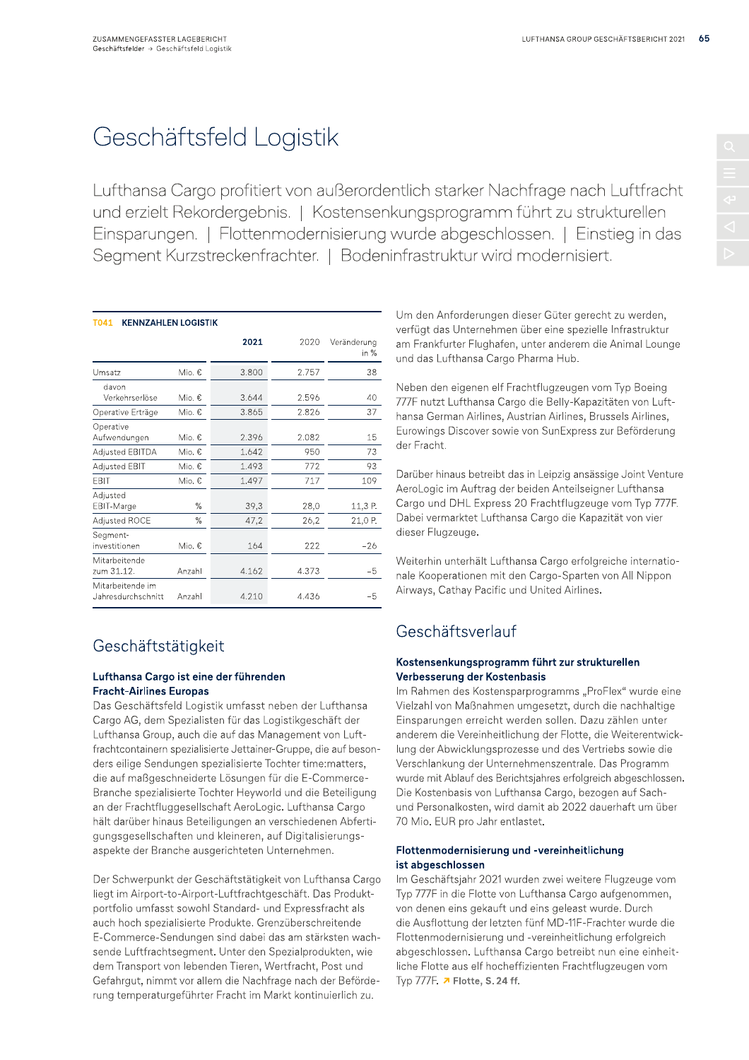# Geschäftsfeld Logistik

Lufthansa Cargo profitiert von außerordentlich starker Nachfrage nach Luftfracht und erzielt Rekordergebnis. | Kostensenkungsprogramm führt zu strukturellen Einsparungen. | Flottenmodernisierung wurde abgeschlossen. | Einstieg in das Segment Kurzstreckenfrachter. | Bodeninfrastruktur wird modernisiert.

| T041<br><b>KENNZAHLEN LOGISTIK</b>     |        |       |       |                       |  |  |
|----------------------------------------|--------|-------|-------|-----------------------|--|--|
|                                        |        | 2021  | 2020  | Veränderung<br>in $%$ |  |  |
| Umsatz                                 | Mio. € | 3.800 | 2.757 | 38                    |  |  |
| davon<br>Verkehrserlöse                | Mio. € | 3.644 | 2.596 | 40                    |  |  |
| Operative Erträge                      | Mio. € | 3.865 | 2.826 | 37                    |  |  |
| Operative<br>Aufwendungen              | Mio. € | 2.396 | 2.082 | 15                    |  |  |
| <b>Adjusted EBITDA</b>                 | Mio. € | 1.642 | 950   | 73                    |  |  |
| Adjusted EBIT                          | Mio. € | 1.493 | 772   | 93                    |  |  |
| <b>FBIT</b>                            | Mio. € | 1.497 | 717   | 109                   |  |  |
| Adjusted<br>EBIT-Marge                 | %      | 39,3  | 28,0  | 11,3 P.               |  |  |
| Adjusted ROCE                          | $\%$   | 47,2  | 26,2  | 21,0 P.               |  |  |
| Segment-<br>investitionen              | Mio. € | 164   | 222   | $-26$                 |  |  |
| Mitarbeitende<br>zum 31.12.            | Anzahl | 4.162 | 4.373 | $-5$                  |  |  |
| Mitarbeitende im<br>Jahresdurchschnitt | Anzahl | 4.210 | 4.436 | $-5$                  |  |  |

# Geschäftstätigkeit

# Lufthansa Cargo ist eine der führenden **Fracht-Airlines Europas**

Das Geschäftsfeld Logistik umfasst neben der Lufthansa Cargo AG, dem Spezialisten für das Logistikgeschäft der Lufthansa Group, auch die auf das Management von Luftfrachtcontainern spezialisierte Jettainer-Gruppe, die auf besonders eilige Sendungen spezialisierte Tochter time: matters, die auf maßgeschneiderte Lösungen für die E-Commerce-Branche spezialisierte Tochter Heyworld und die Beteiligung an der Frachtfluggesellschaft AeroLogic. Lufthansa Cargo hält darüber hinaus Beteiligungen an verschiedenen Abfertigungsgesellschaften und kleineren, auf Digitalisierungsaspekte der Branche ausgerichteten Unternehmen.

Der Schwerpunkt der Geschäftstätigkeit von Lufthansa Cargo liegt im Airport-to-Airport-Luftfrachtgeschäft. Das Produktportfolio umfasst sowohl Standard- und Expressfracht als auch hoch spezialisierte Produkte. Grenzüberschreitende E-Commerce-Sendungen sind dabei das am stärksten wachsende Luftfrachtsegment. Unter den Spezialprodukten, wie dem Transport von lebenden Tieren, Wertfracht, Post und Gefahrgut, nimmt vor allem die Nachfrage nach der Beförderung temperaturgeführter Fracht im Markt kontinuierlich zu.

Um den Anforderungen dieser Güter gerecht zu werden. verfügt das Unternehmen über eine spezielle Infrastruktur am Frankfurter Flughafen, unter anderem die Animal Lounge und das Lufthansa Cargo Pharma Hub.

Neben den eigenen elf Frachtflugzeugen vom Typ Boeing 777F nutzt Lufthansa Cargo die Belly-Kapazitäten von Lufthansa German Airlines, Austrian Airlines, Brussels Airlines, Eurowings Discover sowie von SunExpress zur Beförderung der Fracht.

Darüber hinaus betreibt das in Leipzig ansässige Joint Venture AeroLogic im Auftrag der beiden Anteilseigner Lufthansa Cargo und DHL Express 20 Frachtflugzeuge vom Typ 777F. Dabei vermarktet Lufthansa Cargo die Kapazität von vier dieser Flugzeuge.

Weiterhin unterhält Lufthansa Cargo erfolgreiche internationale Kooperationen mit den Cargo-Sparten von All Nippon Airways, Cathay Pacific und United Airlines.

# Geschäftsverlauf

# Kostensenkungsprogramm führt zur strukturellen Verbesserung der Kostenbasis

Im Rahmen des Kostensparprogramms "ProFlex" wurde eine Vielzahl von Maßnahmen umgesetzt, durch die nachhaltige Einsparungen erreicht werden sollen. Dazu zählen unter anderem die Vereinheitlichung der Flotte, die Weiterentwicklung der Abwicklungsprozesse und des Vertriebs sowie die Verschlankung der Unternehmenszentrale. Das Programm wurde mit Ablauf des Berichtsjahres erfolgreich abgeschlossen. Die Kostenbasis von Lufthansa Cargo, bezogen auf Sachund Personalkosten, wird damit ab 2022 dauerhaft um über 70 Mio. EUR pro Jahr entlastet.

# Flottenmodernisierung und -vereinheitlichung ist abgeschlossen

Im Geschäftsjahr 2021 wurden zwei weitere Flugzeuge vom Typ 777F in die Flotte von Lufthansa Cargo aufgenommen, von denen eins gekauft und eins geleast wurde. Durch die Ausflottung der letzten fünf MD-11F-Frachter wurde die Flottenmodernisierung und -vereinheitlichung erfolgreich abgeschlossen. Lufthansa Cargo betreibt nun eine einheitliche Flotte aus elf hocheffizienten Frachtflugzeugen vom Typ 777F. 7 Flotte, S. 24 ff.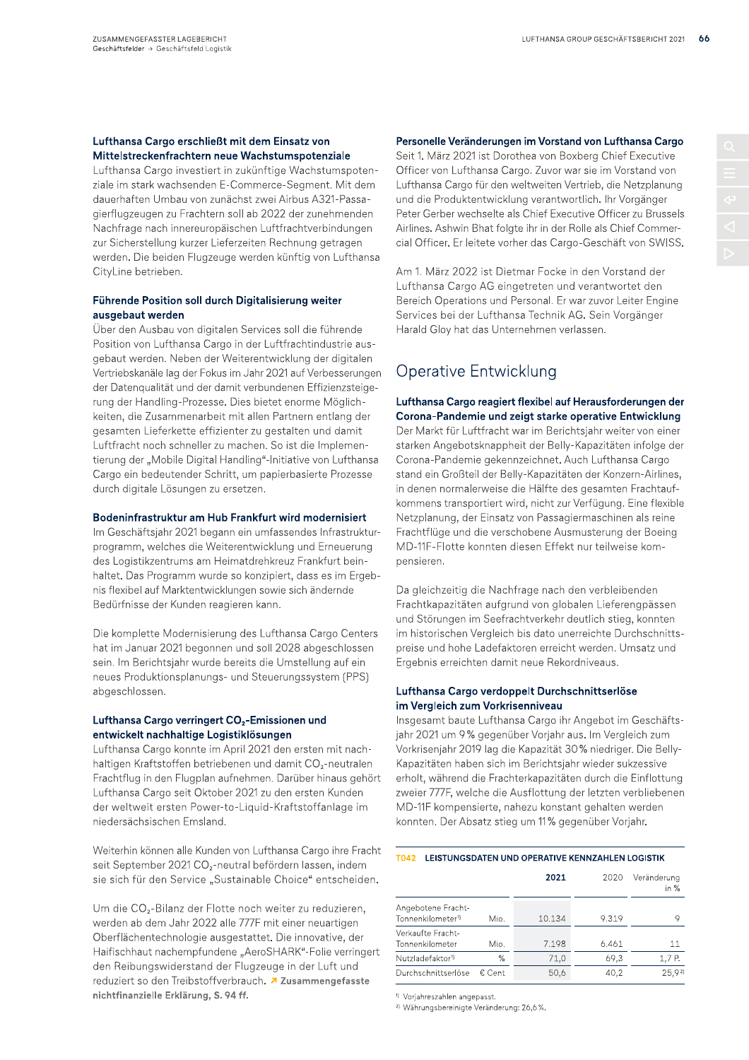# Lufthansa Cargo erschließt mit dem Einsatz von Mittelstreckenfrachtern neue Wachstumspotenziale

Lufthansa Cargo investiert in zukünftige Wachstumspotenziale im stark wachsenden E-Commerce-Segment. Mit dem dauerhaften Umbau von zunächst zwei Airbus A321-Passagierflugzeugen zu Frachtern soll ab 2022 der zunehmenden Nachfrage nach innereuropäischen Luftfrachtverbindungen zur Sicherstellung kurzer Lieferzeiten Rechnung getragen werden. Die beiden Flugzeuge werden künftig von Lufthansa CityLine betrieben.

# Führende Position soll durch Digitalisierung weiter ausgebaut werden

Über den Ausbau von digitalen Services soll die führende Position von Lufthansa Cargo in der Luftfrachtindustrie ausgebaut werden. Neben der Weiterentwicklung der digitalen Vertriebskanäle lag der Fokus im Jahr 2021 auf Verbesserungen der Datenqualität und der damit verbundenen Effizienzsteigerung der Handling-Prozesse. Dies bietet enorme Möglichkeiten, die Zusammenarbeit mit allen Partnern entlang der gesamten Lieferkette effizienter zu gestalten und damit Luftfracht noch schneller zu machen. So ist die Implementierung der "Mobile Digital Handling"-Initiative von Lufthansa Cargo ein bedeutender Schritt, um papierbasierte Prozesse durch digitale Lösungen zu ersetzen.

## Bodeninfrastruktur am Hub Frankfurt wird modernisiert

Im Geschäftsjahr 2021 begann ein umfassendes Infrastrukturprogramm, welches die Weiterentwicklung und Erneuerung des Logistikzentrums am Heimatdrehkreuz Frankfurt beinhaltet. Das Programm wurde so konzipiert, dass es im Ergebnis flexibel auf Marktentwicklungen sowie sich ändernde Bedürfnisse der Kunden reagieren kann.

Die komplette Modernisierung des Lufthansa Cargo Centers hat im Januar 2021 begonnen und soll 2028 abgeschlossen sein. Im Berichtsjahr wurde bereits die Umstellung auf ein neues Produktionsplanungs- und Steuerungssystem (PPS) abgeschlossen.

### Lufthansa Cargo verringert CO<sub>2</sub>-Emissionen und entwickelt nachhaltige Logistiklösungen

Lufthansa Cargo konnte im April 2021 den ersten mit nachhaltigen Kraftstoffen betriebenen und damit CO<sub>2</sub>-neutralen Frachtflug in den Flugplan aufnehmen. Darüber hinaus gehört Lufthansa Cargo seit Oktober 2021 zu den ersten Kunden der weltweit ersten Power-to-Liquid-Kraftstoffanlage im niedersächsischen Emsland.

Weiterhin können alle Kunden von Lufthansa Cargo ihre Fracht seit September 2021 CO<sub>2</sub>-neutral befördern lassen, indem sie sich für den Service "Sustainable Choice" entscheiden.

Um die CO<sub>2</sub>-Bilanz der Flotte noch weiter zu reduzieren. werden ab dem Jahr 2022 alle 777F mit einer neuartigen Oberflächentechnologie ausgestattet. Die innovative, der Haifischhaut nachempfundene "AeroSHARK"-Folie verringert den Reibungswiderstand der Flugzeuge in der Luft und reduziert so den Treibstoffverbrauch. 7 Zusammengefasste nichtfinanzielle Erklärung, S. 94 ff.

# Personelle Veränderungen im Vorstand von Lufthansa Cargo

Seit 1. März 2021 ist Dorothea von Boxberg Chief Executive Officer von Lufthansa Cargo. Zuvor war sie im Vorstand von Lufthansa Cargo für den weltweiten Vertrieb, die Netzplanung und die Produktentwicklung verantwortlich. Ihr Vorgänger Peter Gerber wechselte als Chief Executive Officer zu Brussels Airlines. Ashwin Bhat folgte ihr in der Rolle als Chief Commercial Officer. Er leitete vorher das Cargo-Geschäft von SWISS.

Am 1. März 2022 ist Dietmar Focke in den Vorstand der Lufthansa Cargo AG eingetreten und verantwortet den Bereich Operations und Personal. Er war zuvor Leiter Engine Services bei der Lufthansa Technik AG. Sein Vorgänger Harald Gloy hat das Unternehmen verlassen.

# Operative Entwicklung

Lufthansa Cargo reagiert flexibel auf Herausforderungen der Corona-Pandemie und zeigt starke operative Entwicklung Der Markt für Luftfracht war im Berichtsjahr weiter von einer starken Angebotsknappheit der Belly-Kapazitäten infolge der Corona-Pandemie gekennzeichnet. Auch Lufthansa Cargo stand ein Großteil der Belly-Kapazitäten der Konzern-Airlines, in denen normalerweise die Hälfte des gesamten Frachtaufkommens transportiert wird, nicht zur Verfügung. Eine flexible Netzplanung, der Einsatz von Passagiermaschinen als reine Frachtflüge und die verschobene Ausmusterung der Boeing MD-11F-Flotte konnten diesen Effekt nur teilweise kompensieren.

Da gleichzeitig die Nachfrage nach den verbleibenden Frachtkapazitäten aufgrund von globalen Lieferengpässen und Störungen im Seefrachtverkehr deutlich stieg, konnten im historischen Vergleich bis dato unerreichte Durchschnittspreise und hohe Ladefaktoren erreicht werden. Umsatz und Ergebnis erreichten damit neue Rekordniveaus.

## Lufthansa Cargo verdoppelt Durchschnittserlöse im Vergleich zum Vorkrisenniveau

Insgesamt baute Lufthansa Cargo ihr Angebot im Geschäftsjahr 2021 um 9% gegenüber Vorjahr aus. Im Vergleich zum Vorkrisenjahr 2019 lag die Kapazität 30% niedriger. Die Belly-Kapazitäten haben sich im Berichtsjahr wieder sukzessive erholt, während die Frachterkapazitäten durch die Einflottung zweier 777F, welche die Ausflottung der letzten verbliebenen MD-11F kompensierte, nahezu konstant gehalten werden konnten. Der Absatz stieg um 11% gegenüber Vorjahr.

#### T042 LEISTUNGSDATEN UND OPERATIVE KENNZAHLEN LOGISTIK

|                                                     |        | 2021   | 2020  | Veränderung<br>in $%$ |
|-----------------------------------------------------|--------|--------|-------|-----------------------|
| Angebotene Fracht-<br>Tonnenkilometer <sup>1)</sup> | Mio.   | 10.134 | 9.319 | 9                     |
| Verkaufte Fracht-<br>Tonnenkilometer                | Mio.   | 7.198  | 6.461 | 11                    |
| Nutzladefaktor <sup>1)</sup>                        | %      | 71.0   | 69.3  | 1,7 P.                |
| Durchschnittserlöse                                 | € Cent | 50,6   | 40,2  | 25,92                 |

<sup>1)</sup> Vorjahreszahlen angepasst.

<sup>2)</sup> Währungsbereinigte Veränderung: 26,6%.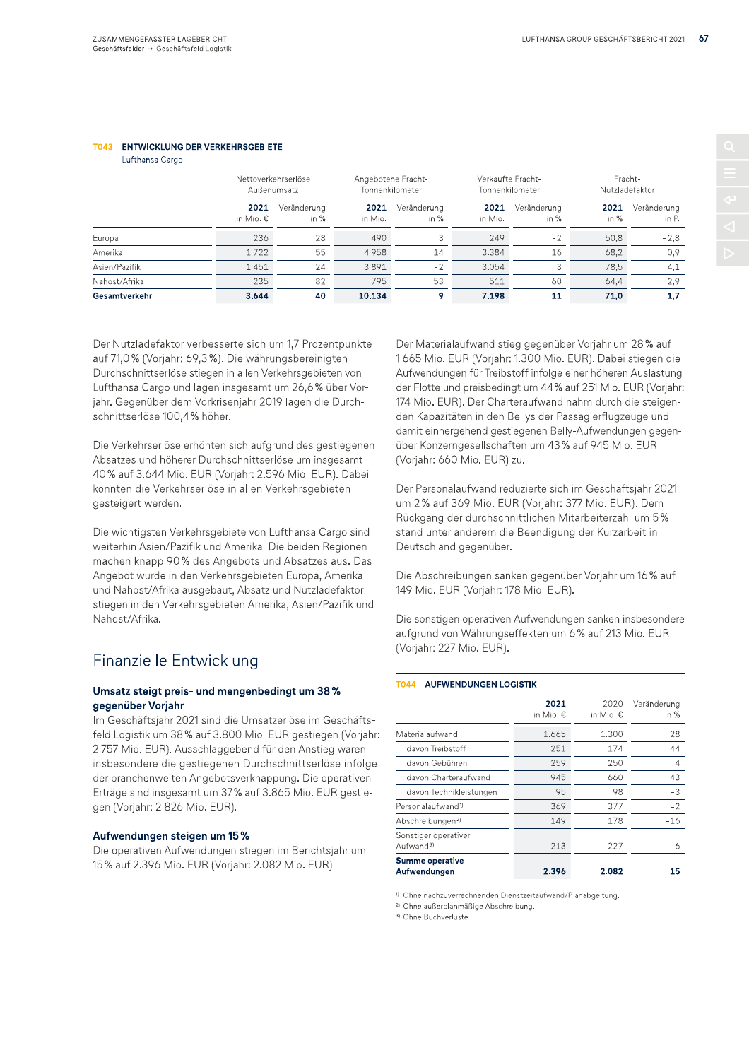# T043 ENTWICKLUNG DER VERKEHRSGERIETE

Lufthansa Cargo

|               | Nettoverkehrserlöse<br>Außenumsatz |                     | Angebotene Fracht-<br>Tonnenkilometer |                       | Verkaufte Fracht-<br>Tonnenkilometer |                     | Fracht-<br>Nutzladefaktor |                      |
|---------------|------------------------------------|---------------------|---------------------------------------|-----------------------|--------------------------------------|---------------------|---------------------------|----------------------|
|               | 2021<br>in Mio. €                  | Veränderung<br>in % | 2021<br>in Mio.                       | Veränderung<br>in $%$ | 2021<br>in Mio.                      | Veränderung<br>in % | 2021<br>in $%$            | Veränderung<br>in P. |
| Europa        | 236                                | 28                  | 490                                   |                       | 249                                  | $-2$                | 50,8                      | $-2,8$               |
| Amerika       | 1.722                              | 55                  | 4.958                                 | 14                    | 3.384                                | 16                  | 68,2                      | 0,9                  |
| Asien/Pazifik | 1.451                              | 24                  | 3.891                                 | $-2$                  | 3.054                                | 3                   | 78,5                      | 4,1                  |
| Nahost/Afrika | 235                                | 82                  | 795                                   | 53                    | 511                                  | 60                  | 64,4                      | 2.9                  |
| Gesamtverkehr | 3.644                              | 40                  | 10.134                                | 9                     | 7.198                                | 11                  | 71,0                      | 1,7                  |

Der Nutzladefaktor verbesserte sich um 1,7 Prozentpunkte auf 71,0% (Vorjahr: 69,3%). Die währungsbereinigten Durchschnittserlöse stiegen in allen Verkehrsgebieten von Lufthansa Cargo und lagen insgesamt um 26,6% über Vorjahr. Gegenüber dem Vorkrisenjahr 2019 lagen die Durchschnittserlöse 100,4% höher.

Die Verkehrserlöse erhöhten sich aufgrund des gestiegenen Absatzes und höherer Durchschnittserlöse um insgesamt 40% auf 3.644 Mio. EUR (Vorjahr: 2.596 Mio. EUR). Dabei konnten die Verkehrserlöse in allen Verkehrsgebieten gesteigert werden.

Die wichtigsten Verkehrsgebiete von Lufthansa Cargo sind weiterhin Asien/Pazifik und Amerika. Die beiden Regionen machen knapp 90% des Angebots und Absatzes aus. Das Angebot wurde in den Verkehrsgebieten Europa, Amerika und Nahost/Afrika ausgebaut, Absatz und Nutzladefaktor stiegen in den Verkehrsgebieten Amerika, Asien/Pazifik und Nahost/Afrika.

# Finanzielle Entwicklung

## Umsatz steigt preis- und mengenbedingt um 38% gegenüber Vorjahr

Im Geschäftsjahr 2021 sind die Umsatzerlöse im Geschäftsfeld Logistik um 38% auf 3.800 Mio. EUR gestiegen (Vorjahr: 2.757 Mio. EUR). Ausschlaggebend für den Anstieg waren insbesondere die gestiegenen Durchschnittserlöse infolge der branchenweiten Angebotsverknappung. Die operativen Erträge sind insgesamt um 37% auf 3.865 Mio. EUR gestiegen (Vorjahr: 2.826 Mio. EUR).

### Aufwendungen steigen um 15%

Die operativen Aufwendungen stiegen im Berichtsjahr um 15% auf 2.396 Mio. EUR (Vorjahr: 2.082 Mio. EUR).

Der Materialaufwand stieg gegenüber Vorjahr um 28% auf 1.665 Mio. EUR (Vorjahr: 1.300 Mio. EUR). Dabei stiegen die Aufwendungen für Treibstoff infolge einer höheren Auslastung der Flotte und preisbedingt um 44% auf 251 Mio. EUR (Vorjahr: 174 Mio. EUR). Der Charteraufwand nahm durch die steigenden Kapazitäten in den Bellys der Passagierflugzeuge und damit einhergehend gestiegenen Belly-Aufwendungen gegenüber Konzerngesellschaften um 43% auf 945 Mio. EUR (Vorjahr: 660 Mio. EUR) zu.

Der Personalaufwand reduzierte sich im Geschäftsjahr 2021 um 2% auf 369 Mio. EUR (Vorjahr: 377 Mio. EUR). Dem Rückgang der durchschnittlichen Mitarbeiterzahl um 5% stand unter anderem die Beendigung der Kurzarbeit in Deutschland gegenüber.

Die Abschreibungen sanken gegenüber Vorjahr um 16% auf 149 Mio. EUR (Vorjahr: 178 Mio. EUR).

Die sonstigen operativen Aufwendungen sanken insbesondere aufgrund von Währungseffekten um 6% auf 213 Mio. EUR (Vorjahr: 227 Mio. EUR).

### T044 AUFWENDUNGEN LOGISTIK

|                                               | 2021<br>in Mio. € | 2020<br>in Mio. € | Veränderung<br>in $%$ |
|-----------------------------------------------|-------------------|-------------------|-----------------------|
| Materialaufwand                               | 1.665             | 1.300             | 28                    |
| davon Treibstoff                              | 251               | 174               | 44                    |
| davon Gebühren                                | 259               | 250               | 4                     |
| davon Charteraufwand                          | 945               | 660               | 43                    |
| davon Technikleistungen                       | 95                | 98                | $-3$                  |
| Personalaufwand <sup>1)</sup>                 | 369               | 377               | $-2$                  |
| Abschreibungen <sup>2)</sup>                  | 149               | 178               | $-16$                 |
| Sonstiger operativer<br>Aufwand <sup>3)</sup> | 213               | 227               | -6                    |
| Summe operative<br>Aufwendungen               | 2.396             | 2.082             | 15                    |

<sup>1</sup> Ohne nachzuverrechnenden Dienstzeitaufwand/Planabgeltung.

<sup>2)</sup> Ohne außerplanmäßige Abschreibung.

<sup>3)</sup> Ohne Buchverluste.